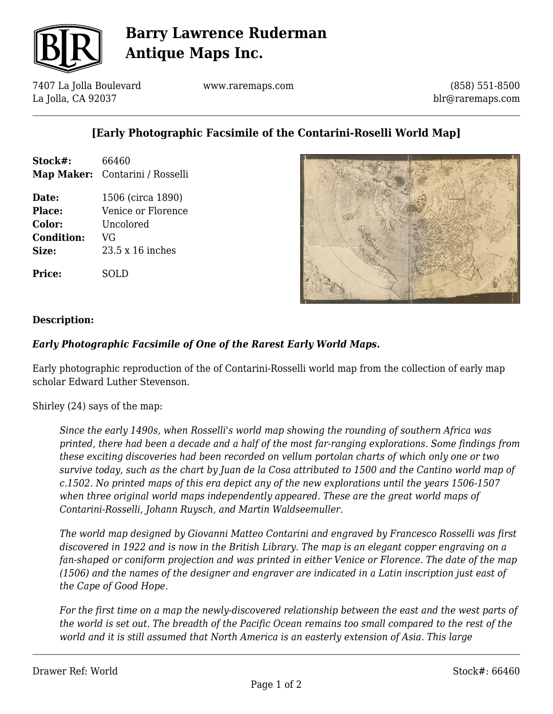

# **Barry Lawrence Ruderman Antique Maps Inc.**

7407 La Jolla Boulevard La Jolla, CA 92037

www.raremaps.com

(858) 551-8500 blr@raremaps.com

## **[Early Photographic Facsimile of the Contarini-Roselli World Map]**

| Stock#:           | 66460                           |
|-------------------|---------------------------------|
|                   | Map Maker: Contarini / Rosselli |
| Date:             | 1506 (circa 1890)               |
| Place:            | Venice or Florence              |
| Color:            | Uncolored                       |
| <b>Condition:</b> | VG                              |
| Size:             | $23.5 \times 16$ inches         |
| Price:            | LD                              |



#### **Description:**

### *Early Photographic Facsimile of One of the Rarest Early World Maps.*

Early photographic reproduction of the of Contarini-Rosselli world map from the collection of early map scholar Edward Luther Stevenson.

Shirley (24) says of the map:

*Since the early 1490s, when Rosselli's world map showing the rounding of southern Africa was printed, there had been a decade and a half of the most far-ranging explorations. Some findings from these exciting discoveries had been recorded on vellum portolan charts of which only one or two survive today, such as the chart by Juan de la Cosa attributed to 1500 and the Cantino world map of c.1502. No printed maps of this era depict any of the new explorations until the years 1506-1507 when three original world maps independently appeared. These are the great world maps of Contarini-Rosselli, Johann Ruysch, and Martin Waldseemuller.*

*The world map designed by Giovanni Matteo Contarini and engraved by Francesco Rosselli was first discovered in 1922 and is now in the British Library. The map is an elegant copper engraving on a fan-shaped or coniform projection and was printed in either Venice or Florence. The date of the map (1506) and the names of the designer and engraver are indicated in a Latin inscription just east of the Cape of Good Hope.*

*For the first time on a map the newly-discovered relationship between the east and the west parts of the world is set out. The breadth of the Pacific Ocean remains too small compared to the rest of the world and it is still assumed that North America is an easterly extension of Asia. This large*